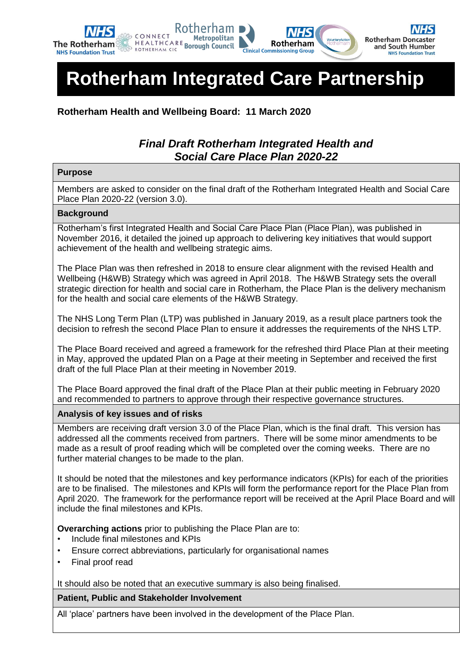

# **Rotherham Integrated Care Partnership**

**Rotherham Health and Wellbeing Board: 11 March 2020**

## *Final Draft Rotherham Integrated Health and Social Care Place Plan 2020-22*

#### **Purpose**

Members are asked to consider on the final draft of the Rotherham Integrated Health and Social Care Place Plan 2020-22 (version 3.0).

#### **Background**

Rotherham's first Integrated Health and Social Care Place Plan (Place Plan), was published in November 2016, it detailed the joined up approach to delivering key initiatives that would support achievement of the health and wellbeing strategic aims.

The Place Plan was then refreshed in 2018 to ensure clear alignment with the revised Health and Wellbeing (H&WB) Strategy which was agreed in April 2018. The H&WB Strategy sets the overall strategic direction for health and social care in Rotherham, the Place Plan is the delivery mechanism for the health and social care elements of the H&WB Strategy.

The NHS Long Term Plan (LTP) was published in January 2019, as a result place partners took the decision to refresh the second Place Plan to ensure it addresses the requirements of the NHS LTP.

The Place Board received and agreed a framework for the refreshed third Place Plan at their meeting in May, approved the updated Plan on a Page at their meeting in September and received the first draft of the full Place Plan at their meeting in November 2019.

The Place Board approved the final draft of the Place Plan at their public meeting in February 2020 and recommended to partners to approve through their respective governance structures.

#### **Analysis of key issues and of risks**

Members are receiving draft version 3.0 of the Place Plan, which is the final draft. This version has addressed all the comments received from partners. There will be some minor amendments to be made as a result of proof reading which will be completed over the coming weeks. There are no further material changes to be made to the plan.

It should be noted that the milestones and key performance indicators (KPIs) for each of the priorities are to be finalised. The milestones and KPIs will form the performance report for the Place Plan from April 2020. The framework for the performance report will be received at the April Place Board and will include the final milestones and KPIs.

**Overarching actions** prior to publishing the Place Plan are to:

- Include final milestones and KPIs
- Ensure correct abbreviations, particularly for organisational names
- Final proof read

It should also be noted that an executive summary is also being finalised.

#### **Patient, Public and Stakeholder Involvement**

All 'place' partners have been involved in the development of the Place Plan.